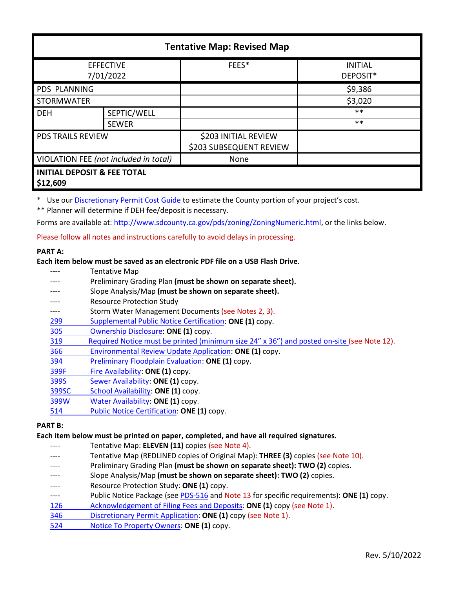| <b>Tentative Map: Revised Map</b>                  |              |                                                 |                            |  |
|----------------------------------------------------|--------------|-------------------------------------------------|----------------------------|--|
| <b>EFFECTIVE</b><br>7/01/2022                      |              | FEES*                                           | <b>INITIAL</b><br>DEPOSIT* |  |
| PDS PLANNING                                       |              |                                                 | \$9,386                    |  |
| STORMWATER                                         |              |                                                 | \$3,020                    |  |
| <b>DEH</b>                                         | SEPTIC/WELL  |                                                 | $***$                      |  |
|                                                    | <b>SEWER</b> |                                                 | $***$                      |  |
| <b>PDS TRAILS REVIEW</b>                           |              | \$203 INITIAL REVIEW<br>\$203 SUBSEQUENT REVIEW |                            |  |
| VIOLATION FEE (not included in total)              |              | None                                            |                            |  |
| <b>INITIAL DEPOSIT &amp; FEE TOTAL</b><br>\$12,609 |              |                                                 |                            |  |

\* Use our [Discretionary Permit Cost Guide](http://www.sandiegocounty.gov/content/dam/sdc/pds/docs/Discretionary_Permit_Cost_Guide.xlsx) to estimate the County portion of your project's cost.

\*\* Planner will determine if DEH fee/deposit is necessary.

Forms are available at: [http://www.sdcounty.ca.gov/pds/zoning/ZoningNumeric.html,](http://www.sdcounty.ca.gov/pds/zoning/ZoningNumeric.html) or the links below.

Please follow all notes and instructions carefully to avoid delays in processing.

## **PART A:**

## **Each item below must be saved as an electronic PDF file on a USB Flash Drive.**

- ---- Tentative Map
- Preliminary Grading Plan (must be shown on separate sheet).
- Slope Analysis/Map (must be shown on separate sheet).
- Resource Protection Study
- ---- Storm Water Management Documents (see Notes 2, 3).
- [299 Supplemental Public Notice Certification:](http://www.sdcounty.ca.gov/pds/zoning/formfields/PDS-PLN-299.pdf) **ONE (1)** copy.
- [305 Ownership Disclosure:](http://www.sdcounty.ca.gov/pds/zoning/formfields/PDS-PLN-305.pdf) **ONE (1)** copy.
- [319 Required Notice must be printed \(minimum size 24" x 36"\) and posted on-site](https://www.sandiegocounty.gov/content/dam/sdc/pds/zoning/formfields/PDS-PLN-319.pdf) (see Note 12).
- [366 Environmental Review Update Application:](http://www.sdcounty.ca.gov/pds/zoning/formfields/PDS-PLN-366.pdf) **ONE (1)** copy.
- [394 Preliminary Floodplain Evaluation:](http://www.sdcounty.ca.gov/pds/zoning/formfields/PDS-PLN-394.pdf) **ONE (1)** copy.
- [399F Fire Availability:](http://www.sdcounty.ca.gov/pds/zoning/formfields/PDS-PLN-399F.pdf) **ONE (1)** copy.
- [399S Sewer Availability:](http://www.sdcounty.ca.gov/pds/zoning/formfields/PDS-PLN-399S.pdf) **ONE (1)** copy.
- [399SC School Availability:](http://www.sdcounty.ca.gov/pds/zoning/formfields/PDS-PLN-399SC.pdf) **ONE (1)** copy.
- [399W Water Availability:](http://www.sdcounty.ca.gov/pds/zoning/formfields/PDS-PLN-399W.pdf) **ONE (1)** copy.
- [514 Public Notice Certification:](http://www.sdcounty.ca.gov/pds/zoning/formfields/PDS-PLN-514.pdf) **ONE (1)** copy.

# **PART B:**

## **Each item below must be printed on paper, completed, and have all required signatures.**

- Tentative Map: ELEVEN (11) copies (see Note 4).
- Tentative Map (REDLINED copies of Original Map): **THREE (3)** copies (see Note 10).
- Preliminary Grading Plan (must be shown on separate sheet): TWO (2) copies.
- Slope Analysis/Map (must be shown on separate sheet): TWO (2) copies.
- Resource Protection Study: ONE (1) copy.
- ---- Public Notice Package (se[e PDS-516](http://www.sdcounty.ca.gov/pds/zoning/formfields/PDS-PLN-516.pdf) and Note 13 for specific requirements): **ONE (1)** copy.
- [126 Acknowledgement of Filing Fees and Deposits:](http://www.sdcounty.ca.gov/pds/zoning/formfields/PDS-PLN-126.pdf) **ONE (1)** copy (see Note 1).
- 346 [Discretionary Permit Application:](http://www.sdcounty.ca.gov/pds/zoning/formfields/PDS-PLN-346.pdf) **ONE (1)** copy (see Note 1).
- 524 [Notice To Property Owners:](http://www.sdcounty.ca.gov/pds/zoning/formfields/PDS-PLN-524.pdf) **ONE (1)** copy.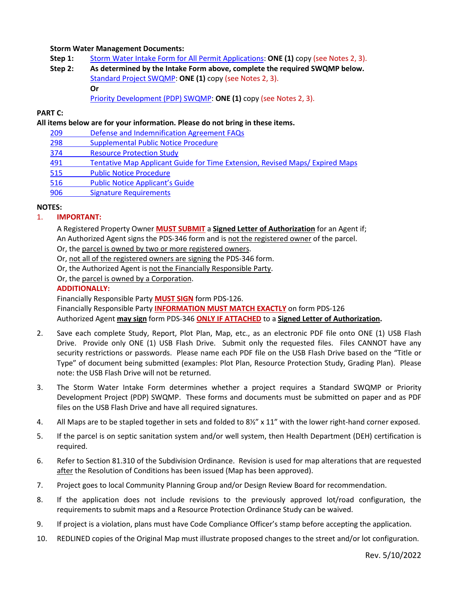## **Storm Water Management Documents:**

- **Step 1:** [Storm Water Intake Form for All Permit Applications:](http://www.sandiegocounty.gov/content/dam/sdc/pds/zoning/formfields/SWQMP-Intake-Form.pdf) **ONE (1)** copy (see Notes 2, 3).
- **Step 2: As determined by the Intake Form above, complete the required SWQMP below.** [Standard Project SWQMP:](http://www.sandiegocounty.gov/content/dam/sdc/pds/zoning/formfields/SWQMP-Standard.pdf) **ONE (1)** copy (see Notes 2, 3). **Or**
	- [Priority Development \(PDP\) SWQMP:](https://www.sandiegocounty.gov/content/sdc/dpw/watersheds/DevelopmentandConstruction/BMP_Design_Manual.html) **ONE (1)** copy (see Notes 2, 3).

#### **PART C:**

#### **All items below are for your information. Please do not bring in these items.**

- 209 [Defense and Indemnification Agreement FAQs](http://www.sdcounty.ca.gov/pds/zoning/formfields/PDS-PLN-209.pdf)
- [298 Supplemental Public Notice Procedure](http://www.sdcounty.ca.gov/pds/zoning/formfields/PDS-PLN-298.pdf)
- [374 Resource Protection Study](http://www.sdcounty.ca.gov/pds/zoning/formfields/PDS-PLN-374.pdf)
- 491 [Tentative Map Applicant Guide for Time Extension, Revised Maps/ Expired Maps](http://www.sdcounty.ca.gov/pds/zoning/formfields/PDS-PLN-491.pdf)
- [515 Public Notice Procedure](http://www.sdcounty.ca.gov/pds/zoning/formfields/PDS-PLN-515.pdf)
- [516 Public Notice Applicant's Guide](http://www.sdcounty.ca.gov/pds/zoning/formfields/PDS-PLN-516.pdf)
- [906 Signature Requirements](http://www.sdcounty.ca.gov/pds/zoning/formfields/PDS-PLN-906.pdf)

#### **NOTES:**

# 1. **IMPORTANT:**

A Registered Property Owner **MUST SUBMIT** a **Signed Letter of Authorization** for an Agent if; An Authorized Agent signs the PDS-346 form and is not the registered owner of the parcel.

Or, the parcel is owned by two or more registered owners.

Or, not all of the registered owners are signing the PDS-346 form.

Or, the Authorized Agent is not the Financially Responsible Party.

Or, the parcel is owned by a Corporation.

## **ADDITIONALLY:**

Financially Responsible Party **MUST SIGN** form PDS-126.

Financially Responsible Party **INFORMATION MUST MATCH EXACTLY** on form PDS-126 Authorized Agent **may sign** form PDS-346 **ONLY IF ATTACHED** to a **Signed Letter of Authorization.** 

- 2. Save each complete Study, Report, Plot Plan, Map, etc., as an electronic PDF file onto ONE (1) USB Flash Drive. Provide only ONE (1) USB Flash Drive. Submit only the requested files. Files CANNOT have any security restrictions or passwords. Please name each PDF file on the USB Flash Drive based on the "Title or Type" of document being submitted (examples: Plot Plan, Resource Protection Study, Grading Plan). Please note: the USB Flash Drive will not be returned.
- 3. The Storm Water Intake Form determines whether a project requires a Standard SWQMP or Priority Development Project (PDP) SWQMP. These forms and documents must be submitted on paper and as PDF files on the USB Flash Drive and have all required signatures.
- 4. All Maps are to be stapled together in sets and folded to 8½" x 11" with the lower right-hand corner exposed.
- 5. If the parcel is on septic sanitation system and/or well system, then Health Department (DEH) certification is required.
- 6. Refer to Section 81.310 of the Subdivision Ordinance. Revision is used for map alterations that are requested after the Resolution of Conditions has been issued (Map has been approved).
- 7. Project goes to local Community Planning Group and/or Design Review Board for recommendation.
- 8. If the application does not include revisions to the previously approved lot/road configuration, the requirements to submit maps and a Resource Protection Ordinance Study can be waived.
- 9. If project is a violation, plans must have Code Compliance Officer's stamp before accepting the application.
- 10. REDLINED copies of the Original Map must illustrate proposed changes to the street and/or lot configuration.